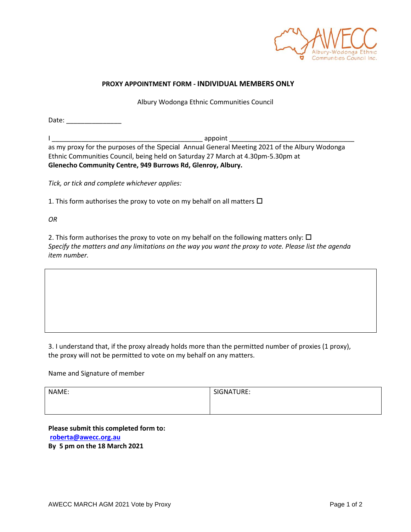

## **PROXY APPOINTMENT FORM - INDIVIDUAL MEMBERS ONLY**

Albury Wodonga Ethnic Communities Council

Date: \_\_\_\_\_\_\_\_\_\_\_\_\_\_\_ I \_\_\_\_\_\_\_\_\_\_\_\_\_\_\_\_\_\_\_\_\_\_\_\_\_\_\_\_\_\_\_\_\_\_\_\_\_\_\_\_\_ appoint \_\_\_\_\_\_\_\_\_\_\_\_\_\_\_\_\_\_\_\_\_\_\_\_\_\_\_\_\_\_\_\_\_\_ as my proxy for the purposes of the Special Annual General Meeting 2021 of the Albury Wodonga Ethnic Communities Council, being held on Saturday 27 March at 4.30pm-5.30pm at **Glenecho Community Centre, 949 Burrows Rd, Glenroy, Albury.**

*Tick, or tick and complete whichever applies:*

1. This form authorises the proxy to vote on my behalf on all matters  $\Box$ 

*OR*

2. This form authorises the proxy to vote on my behalf on the following matters only:  $\Box$ *Specify the matters and any limitations on the way you want the proxy to vote. Please list the agenda item number.*

3. I understand that, if the proxy already holds more than the permitted number of proxies (1 proxy), the proxy will not be permitted to vote on my behalf on any matters.

Name and Signature of member

| NAME: | SIGNATURE: |
|-------|------------|
|       |            |
|       |            |

**Please submit this completed form to: [roberta@awecc.org.au](mailto:roberta@awecc.org.au) By 5 pm on the 18 March 2021**